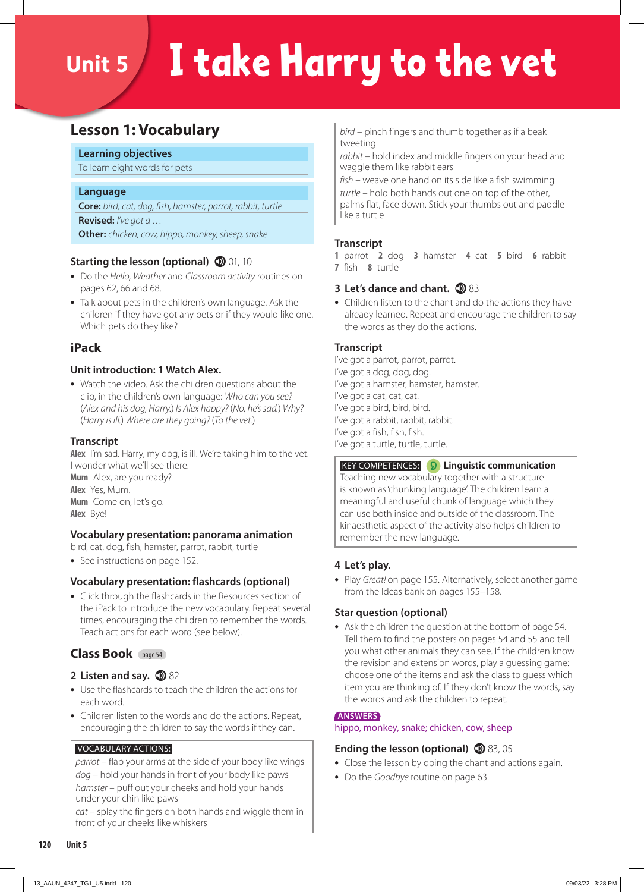# Unit 5 I take Harry to the vet

# **Lesson 1: Vocabulary**

#### **Learning objectives**

To learn eight words for pets

#### **Language**

**Core:** *bird, cat, dog, fish, hamster, parrot, rabbit, turtle* **Revised:** *I've got a …*  **Other:** *chicken, cow, hippo, monkey, sheep, snake*

#### **Starting the lesson (optional) 10** 01, 10

- **•** Do the *Hello, Weather* and *Classroom activity* routines on pages 62, 66 and 68.
- **•** Talk about pets in the children's own language. Ask the children if they have got any pets or if they would like one. Which pets do they like?

#### **iPack**

#### **Unit introduction: 1 Watch Alex.**

**•** Watch the video. Ask the children questions about the clip, in the children's own language: *Who can you see?*  (*Alex and his dog, Harry.*) *Is Alex happy?* (*No, he's sad.*) *Why?*  (*Harry is ill.*) *Where are they going?* (*To the vet.*)

#### **Transcript**

**Alex** I'm sad. Harry, my dog, is ill. We're taking him to the vet. I wonder what we'll see there.

**Mum** Alex, are you ready? **Alex** Yes, Mum. **Mum** Come on, let's go. **Alex** Bye!

#### **Vocabulary presentation: panorama animation**

bird, cat, dog, fish, hamster, parrot, rabbit, turtle

**•** See instructions on page 152.

#### **Vocabulary presentation: flashcards (optional)**

**•** Click through the flashcards in the Resources section of the iPack to introduce the new vocabulary. Repeat several times, encouraging the children to remember the words. Teach actions for each word (see below).

#### **Class Book** page 54

#### **2** Listen and say. **1**82

- **•** Use the flashcards to teach the children the actions for each word.
- **•** Children listen to the words and do the actions. Repeat, encouraging the children to say the words if they can.

#### VOCABULARY ACTIONS:

*parrot* – flap your arms at the side of your body like wings *dog* – hold your hands in front of your body like paws *hamster* – puff out your cheeks and hold your hands under your chin like paws

*cat* – splay the fingers on both hands and wiggle them in front of your cheeks like whiskers

*bird* – pinch fingers and thumb together as if a beak tweeting

*rabbit* – hold index and middle fingers on your head and waggle them like rabbit ears

*fish* – weave one hand on its side like a fish swimming *turtle* – hold both hands out one on top of the other, palms flat, face down. Stick your thumbs out and paddle like a turtle

#### **Transcript**

**1** parrot **2** dog **3** hamster **4** cat **5** bird **6** rabbit **7** fish **8** turtle

#### **3 Let's dance and chant.**  $\mathbf{D}$  **83**

**•** Children listen to the chant and do the actions they have already learned. Repeat and encourage the children to say the words as they do the actions.

#### **Transcript**

I've got a parrot, parrot, parrot. I've got a dog, dog, dog. I've got a hamster, hamster, hamster. I've got a cat, cat, cat. I've got a bird, bird, bird. I've got a rabbit, rabbit, rabbit. I've got a fish, fish, fish. I've got a turtle, turtle, turtle.

 KEY COMPETENCES: **Linguistic communication**  Teaching new vocabulary together with a structure is known as 'chunking language'. The children learn a meaningful and useful chunk of language which they can use both inside and outside of the classroom. The kinaesthetic aspect of the activity also helps children to remember the new language.

#### **4 Let's play.**

**•** Play *Great!* on page 155. Alternatively, select another game from the Ideas bank on pages 155–158.

#### **Star question (optional)**

**•** Ask the children the question at the bottom of page 54. Tell them to find the posters on pages 54 and 55 and tell you what other animals they can see. If the children know the revision and extension words, play a guessing game: choose one of the items and ask the class to guess which item you are thinking of. If they don't know the words, say the words and ask the children to repeat.

#### **ANSWERS**

hippo, monkey, snake; chicken, cow, sheep

#### **Ending the lesson (optional) 1** 83, 05

- **•** Close the lesson by doing the chant and actions again.
- **•** Do the *Goodbye* routine on page 63.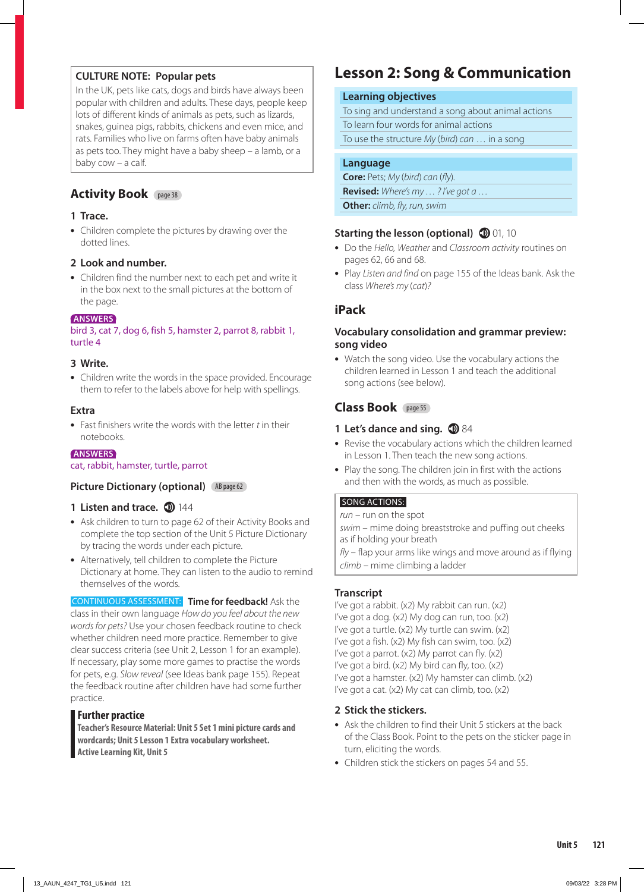#### **CULTURE NOTE: Popular pets**

In the UK, pets like cats, dogs and birds have always been popular with children and adults. These days, people keep lots of different kinds of animals as pets, such as lizards, snakes, guinea pigs, rabbits, chickens and even mice, and rats. Families who live on farms often have baby animals as pets too. They might have a baby sheep – a lamb, or a baby cow – a calf.

#### **Activity Book** page 38

#### **1 Trace.**

**•** Children complete the pictures by drawing over the dotted lines.

#### **2 Look and number.**

**•** Children find the number next to each pet and write it in the box next to the small pictures at the bottom of the page.

#### **ANSWERS**

bird 3, cat 7, dog 6, fish 5, hamster 2, parrot 8, rabbit 1, turtle 4

#### **3 Write.**

**•** Children write the words in the space provided. Encourage them to refer to the labels above for help with spellings.

#### **Extra**

**•** Fast finishers write the words with the letter *t* in their notebooks.

#### **ANSWERS**

cat, rabbit, hamster, turtle, parrot

#### **Picture Dictionary (optional)** AB page 62

#### **1 Listen and trace. 1 144**

- **•** Ask children to turn to page 62 of their Activity Books and complete the top section of the Unit 5 Picture Dictionary by tracing the words under each picture.
- **•** Alternatively, tell children to complete the Picture Dictionary at home. They can listen to the audio to remind themselves of the words.

CONTINUOUS ASSESSMENT: **Time for feedback!** Ask the class in their own language *How do you feel about the new words for pets?* Use your chosen feedback routine to check whether children need more practice. Remember to give clear success criteria (see Unit 2, Lesson 1 for an example). If necessary, play some more games to practise the words for pets, e.g. *Slow reveal* (see Ideas bank page 155). Repeat the feedback routine after children have had some further practice.

#### **Further practice**

**Teacher's Resource Material: Unit 5 Set 1 mini picture cards and wordcards; Unit 5 Lesson 1 Extra vocabulary worksheet. Active Learning Kit, Unit 5**

# **Lesson 2: Song & Communication**

#### **Learning objectives**

To sing and understand a song about animal actions To learn four words for animal actions

To use the structure *My* (*bird*) *can* … in a song

#### **Language**

**Core:** Pets; *My* (*bird*) *can* (*fly*)*.* **Revised:** *Where's my … ? I've got a …* **Other:** *climb, fly, run, swim*

#### **Starting the lesson (optional) 10** 01, 10

- **•** Do the *Hello, Weather* and *Classroom activity* routines on pages 62, 66 and 68.
- **•** Play *Listen and find* on page 155 of the Ideas bank. Ask the class *Where's my* (*cat*)*?*

#### **iPack**

#### **Vocabulary consolidation and grammar preview: song video**

**•** Watch the song video. Use the vocabulary actions the children learned in Lesson 1 and teach the additional song actions (see below).

#### **Class Book** page 55

#### **1 Let's dance and sing. 1 84**

- **•** Revise the vocabulary actions which the children learned in Lesson 1. Then teach the new song actions.
- **•** Play the song. The children join in first with the actions and then with the words, as much as possible.

#### SONG ACTIONS:

*run* – run on the spot

*swim* – mime doing breaststroke and puffing out cheeks as if holding your breath

*fly* – flap your arms like wings and move around as if flying *climb* – mime climbing a ladder

#### **Transcript**

I've got a rabbit. (x2) My rabbit can run. (x2) I've got a dog. (x2) My dog can run, too. (x2) I've got a turtle. (x2) My turtle can swim. (x2) I've got a fish. (x2) My fish can swim, too. (x2) I've got a parrot. (x2) My parrot can fly. (x2) I've got a bird. (x2) My bird can fly, too. (x2) I've got a hamster. (x2) My hamster can climb. (x2) I've got a cat. (x2) My cat can climb, too. (x2)

#### **2 Stick the stickers.**

- **•** Ask the children to find their Unit 5 stickers at the back of the Class Book. Point to the pets on the sticker page in turn, eliciting the words.
- **•** Children stick the stickers on pages 54 and 55.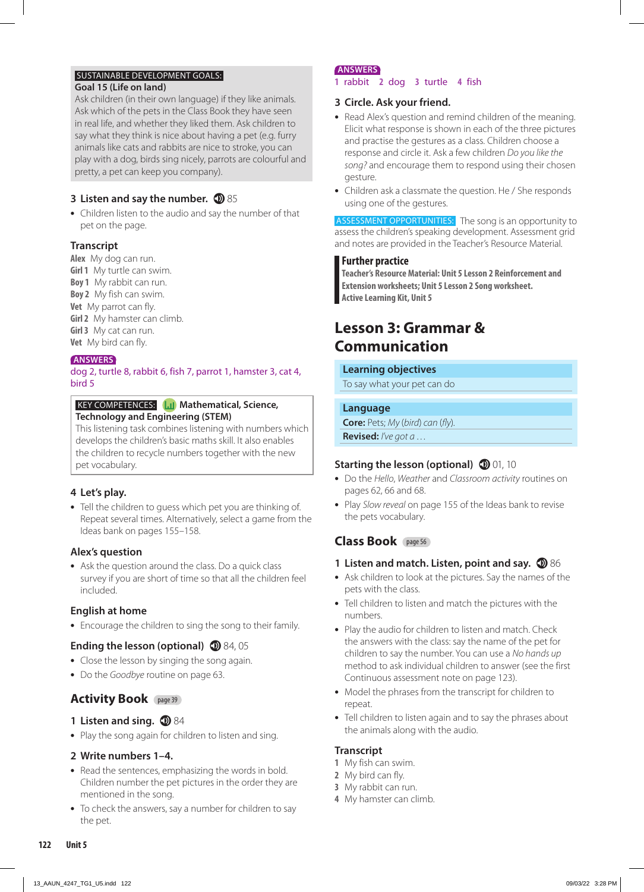#### SUSTAINABLE DEVELOPMENT GOALS:

#### **Goal 15 (Life on land)**

Ask children (in their own language) if they like animals. Ask which of the pets in the Class Book they have seen in real life, and whether they liked them. Ask children to say what they think is nice about having a pet (e.g. furry animals like cats and rabbits are nice to stroke, you can play with a dog, birds sing nicely, parrots are colourful and pretty, a pet can keep you company).

#### **3** Listen and say the number. **1**85

**•** Children listen to the audio and say the number of that pet on the page.

#### **Transcript**

**Alex** My dog can run. **Girl 1** My turtle can swim. **Boy 1** My rabbit can run. **Boy 2** My fish can swim. **Vet** My parrot can fly. **Girl 2** My hamster can climb. **Girl 3** My cat can run. **Vet** My bird can fly.

#### **ANSWERS**

dog 2, turtle 8, rabbit 6, fish 7, parrot 1, hamster 3, cat 4, bird 5

#### **KEY COMPETENCES: Mathematical, Science, Technology and Engineering (STEM)**

This listening task combines listening with numbers which develops the children's basic maths skill. It also enables the children to recycle numbers together with the new pet vocabulary.

#### **4 Let's play.**

**•** Tell the children to guess which pet you are thinking of. Repeat several times. Alternatively, select a game from the Ideas bank on pages 155–158.

#### **Alex's question**

**•** Ask the question around the class. Do a quick class survey if you are short of time so that all the children feel included.

#### **English at home**

**•** Encourage the children to sing the song to their family.

#### **Ending the lesson (optional) 1** 84, 05

- **•** Close the lesson by singing the song again.
- **•** Do the *Goodbye* routine on page 63.

#### **Activity Book** page 39

#### **1 Listen and sing. 184**

**•** Play the song again for children to listen and sing.

#### **2 Write numbers 1–4.**

- **•** Read the sentences, emphasizing the words in bold. Children number the pet pictures in the order they are mentioned in the song.
- **•** To check the answers, say a number for children to say the pet.

#### **ANSWERS**

#### **1** rabbit **2** dog **3** turtle **4** fish

#### **3 Circle. Ask your friend.**

- **•** Read Alex's question and remind children of the meaning. Elicit what response is shown in each of the three pictures and practise the gestures as a class. Children choose a response and circle it. Ask a few children *Do you like the song?* and encourage them to respond using their chosen gesture.
- **•** Children ask a classmate the question. He / She responds using one of the gestures.

ASSESSMENT OPPORTUNITIES: The song is an opportunity to assess the children's speaking development. Assessment grid and notes are provided in the Teacher's Resource Material.

#### **Further practice**

**Teacher's Resource Material: Unit 5 Lesson 2 Reinforcement and Extension worksheets; Unit 5 Lesson 2 Song worksheet. Active Learning Kit, Unit 5**

# **Lesson 3: Grammar & Communication**

#### **Learning objectives**

To say what your pet can do

#### **Language**

**Core:** Pets; *My* (*bird*) *can* (*fly*)*.* **Revised:** *I've got a …*

#### **Starting the lesson (optional) 10** 01, 10

- **•** Do the *Hello*, *Weather* and *Classroom activity* routines on pages 62, 66 and 68.
- **•** Play *Slow reveal* on page 155 of the Ideas bank to revise the pets vocabulary.

# **Class Book** page 56

#### **1 Listen and match. Listen, point and say. 16** 86

- **•** Ask children to look at the pictures. Say the names of the pets with the class.
- **•** Tell children to listen and match the pictures with the numbers.
- **•** Play the audio for children to listen and match. Check the answers with the class: say the name of the pet for children to say the number. You can use a *No hands up*  method to ask individual children to answer (see the first Continuous assessment note on page 123).
- **•** Model the phrases from the transcript for children to repeat.
- **•** Tell children to listen again and to say the phrases about the animals along with the audio.

#### **Transcript**

- **1** My fish can swim.
- **2** My bird can fly.
- **3** My rabbit can run.
- **4** My hamster can climb.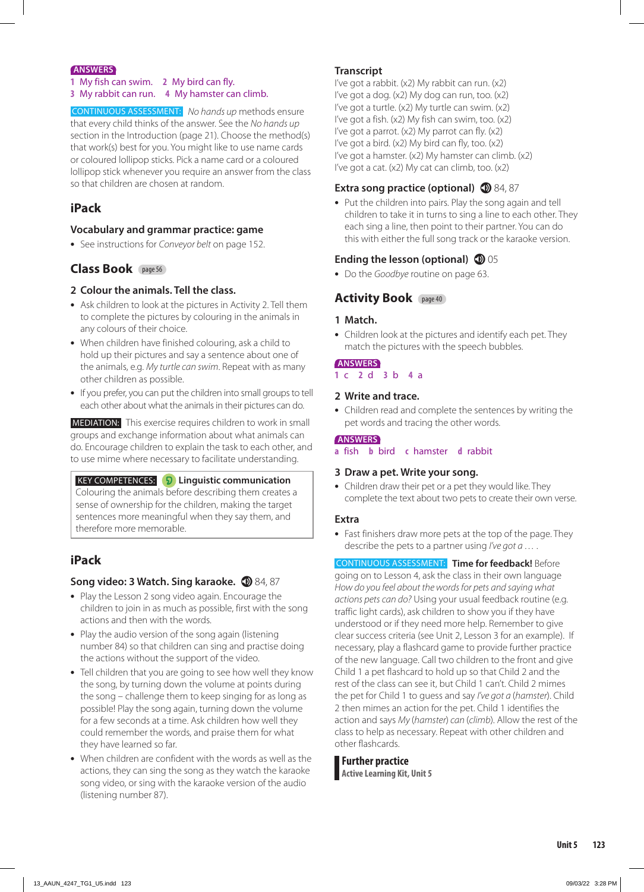#### **ANSWERS**

- **1** My fish can swim. **2** My bird can fly.
- **3** My rabbit can run. **4** My hamster can climb.

CONTINUOUS ASSESSMENT: *No hands up* methods ensure that every child thinks of the answer. See the *No hands up* section in the Introduction (page 21). Choose the method(s) that work(s) best for you. You might like to use name cards or coloured lollipop sticks. Pick a name card or a coloured lollipop stick whenever you require an answer from the class so that children are chosen at random.

#### **iPack**

#### **Vocabulary and grammar practice: game**

**•** See instructions for *Conveyor belt* on page 152.

#### **Class Book** page 56

- **2 Colour the animals. Tell the class.**
- **•** Ask children to look at the pictures in Activity 2. Tell them to complete the pictures by colouring in the animals in any colours of their choice.
- **•** When children have finished colouring, ask a child to hold up their pictures and say a sentence about one of the animals, e.g. *My turtle can swim*. Repeat with as many other children as possible.
- **•** If you prefer, you can put the children into small groups to tell each other about what the animals in their pictures can do.

 MEDIATION: This exercise requires children to work in small groups and exchange information about what animals can do. Encourage children to explain the task to each other, and to use mime where necessary to facilitate understanding.

 KEY COMPETENCES: **Linguistic communication** Colouring the animals before describing them creates a sense of ownership for the children, making the target sentences more meaningful when they say them, and therefore more memorable.

# **iPack**

#### **Song video: 3 Watch. Sing karaoke.**  $\circled{D}$  **84, 87**

- **•** Play the Lesson 2 song video again. Encourage the children to join in as much as possible, first with the song actions and then with the words.
- **•** Play the audio version of the song again (listening number 84) so that children can sing and practise doing the actions without the support of the video.
- **•** Tell children that you are going to see how well they know the song, by turning down the volume at points during the song – challenge them to keep singing for as long as possible! Play the song again, turning down the volume for a few seconds at a time. Ask children how well they could remember the words, and praise them for what they have learned so far.
- **•** When children are confident with the words as well as the actions, they can sing the song as they watch the karaoke song video, or sing with the karaoke version of the audio (listening number 87).

#### **Transcript**

I've got a rabbit. (x2) My rabbit can run. (x2) I've got a dog.  $(x2)$  My dog can run, too.  $(x2)$ I've got a turtle. (x2) My turtle can swim. (x2) I've got a fish. (x2) My fish can swim, too. (x2) I've got a parrot. (x2) My parrot can fly. (x2) I've got a bird. (x2) My bird can fly, too. (x2) I've got a hamster. (x2) My hamster can climb. (x2) I've got a cat. (x2) My cat can climb, too. (x2)

#### **Extra song practice (optional) 1** 84, 87

**•** Put the children into pairs. Play the song again and tell children to take it in turns to sing a line to each other. They each sing a line, then point to their partner. You can do this with either the full song track or the karaoke version.

#### **Ending the lesson (optional) 1** 05

**•** Do the *Goodbye* routine on page 63.

#### **Activity Book** page 40

#### **1 Match.**

**•** Children look at the pictures and identify each pet. They match the pictures with the speech bubbles.

#### **ANSWERS**

#### **1** c **2** d **3** b **4** a

#### **2 Write and trace.**

**•** Children read and complete the sentences by writing the pet words and tracing the other words.

#### **ANSWERS**

**a** fish **b** bird **c** hamster **d** rabbit

#### **3 Draw a pet. Write your song.**

**•** Children draw their pet or a pet they would like. They complete the text about two pets to create their own verse.

#### **Extra**

**•** Fast finishers draw more pets at the top of the page. They describe the pets to a partner using *I've got a …* .

CONTINUOUS ASSESSMENT: **Time for feedback!** Before

going on to Lesson 4, ask the class in their own language *How do you feel about the words for pets and saying what actions pets can do?* Using your usual feedback routine (e.g. traffic light cards), ask children to show you if they have understood or if they need more help. Remember to give clear success criteria (see Unit 2, Lesson 3 for an example). If necessary, play a flashcard game to provide further practice of the new language. Call two children to the front and give Child 1 a pet flashcard to hold up so that Child 2 and the rest of the class can see it, but Child 1 can't. Child 2 mimes the pet for Child 1 to guess and say *I've got a* (*hamster*). Child 2 then mimes an action for the pet. Child 1 identifies the action and says *My* (*hamster*) *can* (*climb*). Allow the rest of the class to help as necessary. Repeat with other children and other flashcards.

#### **Further practice Active Learning Kit, Unit 5**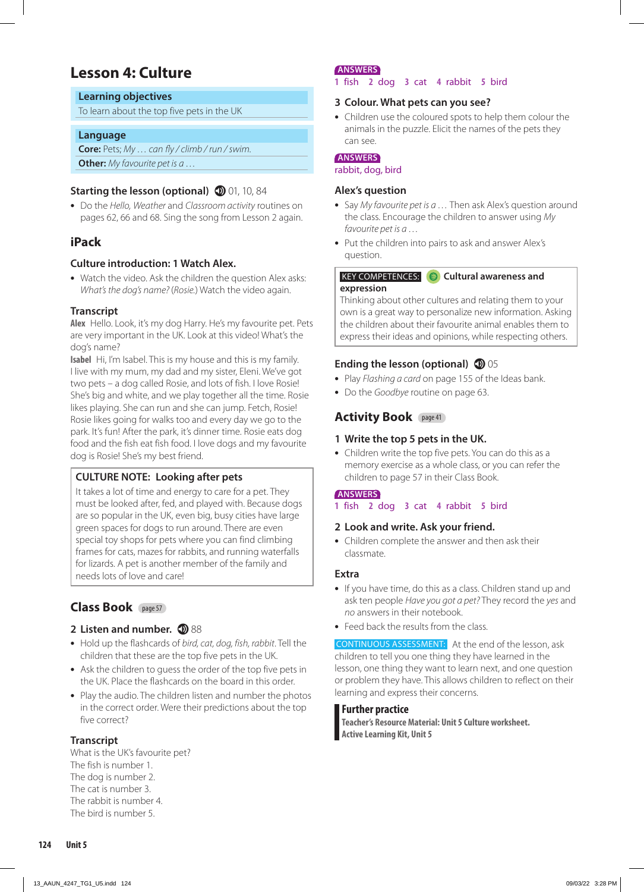# **Lesson 4: Culture**

#### **Learning objectives**

To learn about the top five pets in the UK

#### **Language**

**Core:** Pets; *My … can fly / climb / run / swim.*  **Other:** *My favourite pet is a …*

#### **Starting the lesson (optional) 10, 10, 84**

**•** Do the *Hello, Weather* and *Classroom activity* routines on pages 62, 66 and 68. Sing the song from Lesson 2 again.

#### **iPack**

#### **Culture introduction: 1 Watch Alex.**

**•** Watch the video. Ask the children the question Alex asks: *What's the dog's name?* (*Rosie.*) Watch the video again.

#### **Transcript**

**Alex** Hello. Look, it's my dog Harry. He's my favourite pet. Pets are very important in the UK. Look at this video! What's the dog's name?

**Isabel** Hi, I'm Isabel. This is my house and this is my family. I live with my mum, my dad and my sister, Eleni. We've got two pets – a dog called Rosie, and lots of fish. I love Rosie! She's big and white, and we play together all the time. Rosie likes playing. She can run and she can jump. Fetch, Rosie! Rosie likes going for walks too and every day we go to the park. It's fun! After the park, it's dinner time. Rosie eats dog food and the fish eat fish food. I love dogs and my favourite dog is Rosie! She's my best friend.

#### **CULTURE NOTE: Looking after pets**

It takes a lot of time and energy to care for a pet. They must be looked after, fed, and played with. Because dogs are so popular in the UK, even big, busy cities have large green spaces for dogs to run around. There are even special toy shops for pets where you can find climbing frames for cats, mazes for rabbits, and running waterfalls for lizards. A pet is another member of the family and needs lots of love and care!

# **Class Book** page 57

#### **2 Listen and number. 1888**

- **•** Hold up the flashcards of *bird, cat, dog, fish, rabbit*. Tell the children that these are the top five pets in the UK.
- **•** Ask the children to guess the order of the top five pets in the UK. Place the flashcards on the board in this order.
- **•** Play the audio. The children listen and number the photos in the correct order. Were their predictions about the top five correct?

#### **Transcript**

What is the UK's favourite pet? The fish is number 1. The dog is number 2. The cat is number 3. The rabbit is number 4. The bird is number 5.

#### **ANSWERS**

#### **1** fish **2** dog **3** cat **4** rabbit **5** bird

#### **3 Colour. What pets can you see?**

**•** Children use the coloured spots to help them colour the animals in the puzzle. Elicit the names of the pets they can see.

#### **ANSWERS**

rabbit, dog, bird

#### **Alex's question**

- **•** Say *My favourite pet is a …* Then ask Alex's question around the class. Encourage the children to answer using *My favourite pet is a …*
- **•** Put the children into pairs to ask and answer Alex's question.

#### KEY COMPETENCES: **Cultural awareness and expression**

Thinking about other cultures and relating them to your own is a great way to personalize new information. Asking the children about their favourite animal enables them to express their ideas and opinions, while respecting others.

#### **Ending the lesson (optional)**  $\mathbf{D}$  05

- **•** Play *Flashing a card* on page 155 of the Ideas bank.
- **•** Do the *Goodbye* routine on page 63.

#### **Activity Book** page 41

#### **1 Write the top 5 pets in the UK.**

**•** Children write the top five pets. You can do this as a memory exercise as a whole class, or you can refer the children to page 57 in their Class Book.

#### **ANSWERS**

**1** fish **2** dog **3** cat **4** rabbit **5** bird

#### **2 Look and write. Ask your friend.**

**•** Children complete the answer and then ask their classmate.

#### **Extra**

- **•** If you have time, do this as a class. Children stand up and ask ten people *Have you got a pet?* They record the *yes* and *no* answers in their notebook.
- **•** Feed back the results from the class.

CONTINUOUS ASSESSMENT: At the end of the lesson, ask children to tell you one thing they have learned in the lesson, one thing they want to learn next, and one question or problem they have. This allows children to reflect on their learning and express their concerns.

#### **Further practice**

**Teacher's Resource Material: Unit 5 Culture worksheet. Active Learning Kit, Unit 5**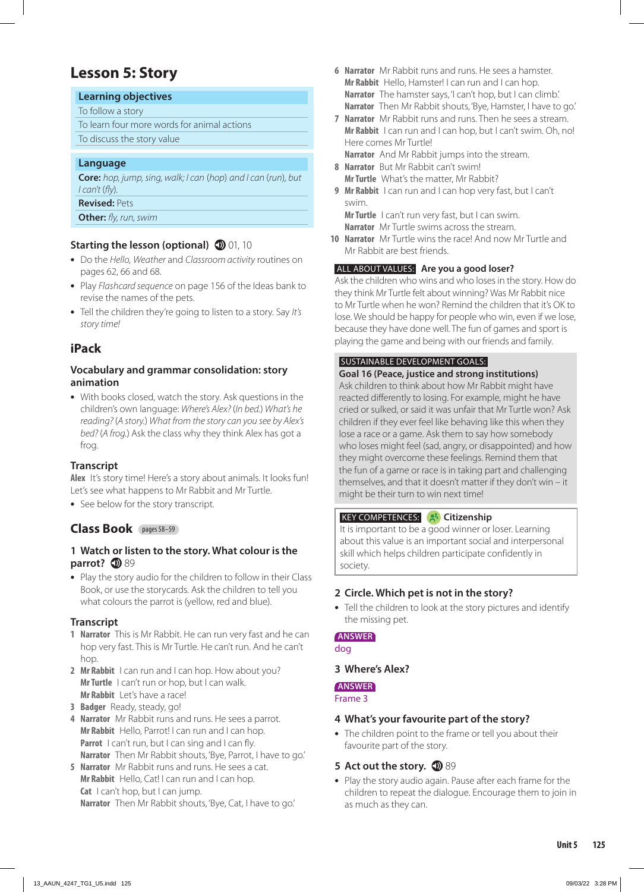# **Lesson 5: Story**

#### **Learning objectives**

To follow a story

To learn four more words for animal actions To discuss the story value

#### **Language**

**Core:** *hop, jump, sing, walk; I can* (*hop*) *and I can* (*run*)*, but I can't* (*fly*)*.*

**Revised:** Pets

**Other:** *fly, run, swim*

#### **Starting the lesson (optional) 10** 01, 10

- **•** Do the *Hello, Weather* and *Classroom activity* routines on pages 62, 66 and 68.
- **•** Play *Flashcard sequence* on page 156 of the Ideas bank to revise the names of the pets.
- **•** Tell the children they're going to listen to a story. Say *It's story time!*

# **iPack**

#### **Vocabulary and grammar consolidation: story animation**

**•** With books closed, watch the story. Ask questions in the children's own language: *Where's Alex?* (*In bed.*) *What's he reading?* (*A story.*) *What from the story can you see by Alex's bed?* (*A frog.*) Ask the class why they think Alex has got a frog.

#### **Transcript**

**Alex** It's story time! Here's a story about animals. It looks fun! Let's see what happens to Mr Rabbit and Mr Turtle.

**•** See below for the story transcript.

#### **Class Book** pages 58–59

#### **1 Watch or listen to the story. What colour is the parrot? 1**89

**•** Play the story audio for the children to follow in their Class Book, or use the storycards. Ask the children to tell you what colours the parrot is (yellow, red and blue).

#### **Transcript**

- **1 Narrator** This is Mr Rabbit. He can run very fast and he can hop very fast. This is Mr Turtle. He can't run. And he can't hop.
- **2 Mr Rabbit** I can run and I can hop. How about you? **Mr Turtle** I can't run or hop, but I can walk. **Mr Rabbit** Let's have a race!
- **3 Badger** Ready, steady, go!
- **4 Narrator** Mr Rabbit runs and runs. He sees a parrot. **Mr Rabbit** Hello, Parrot! I can run and I can hop. **Parrot** I can't run, but I can sing and I can fly. **Narrator** Then Mr Rabbit shouts, 'Bye, Parrot, I have to go.'
- **5 Narrator** Mr Rabbit runs and runs. He sees a cat. **Mr Rabbit** Hello, Cat! I can run and I can hop. **Cat** I can't hop, but I can jump. **Narrator** Then Mr Rabbit shouts, 'Bye, Cat, I have to go.'
- **6 Narrator** Mr Rabbit runs and runs. He sees a hamster. **Mr Rabbit** Hello, Hamster! I can run and I can hop. Narrator The hamster says, 'I can't hop, but I can climb.' **Narrator** Then Mr Rabbit shouts, 'Bye, Hamster, I have to go.'
- **7 Narrator** Mr Rabbit runs and runs. Then he sees a stream. **Mr Rabbit** I can run and I can hop, but I can't swim. Oh, no! Here comes Mr Turtle! **Narrator** And Mr Rabbit jumps into the stream.
	-
- **8 Narrator** But Mr Rabbit can't swim! **Mr Turtle** What's the matter, Mr Rabbit?
- **9 Mr Rabbit** I can run and I can hop very fast, but I can't swim.

**Mr Turtle** I can't run very fast, but I can swim. **Narrator** Mr Turtle swims across the stream.

**10 Narrator** Mr Turtle wins the race! And now Mr Turtle and Mr Rabbit are best friends.

#### ALL ABOUT VALUES: **Are you a good loser?**

Ask the children who wins and who loses in the story. How do they think Mr Turtle felt about winning? Was Mr Rabbit nice to Mr Turtle when he won? Remind the children that it's OK to lose. We should be happy for people who win, even if we lose, because they have done well. The fun of games and sport is playing the game and being with our friends and family.

#### SUSTAINABLE DEVELOPMENT GOALS:

#### **Goal 16 (Peace, justice and strong institutions)**

Ask children to think about how Mr Rabbit might have reacted differently to losing. For example, might he have cried or sulked, or said it was unfair that Mr Turtle won? Ask children if they ever feel like behaving like this when they lose a race or a game. Ask them to say how somebody who loses might feel (sad, angry, or disappointed) and how they might overcome these feelings. Remind them that the fun of a game or race is in taking part and challenging themselves, and that it doesn't matter if they don't win – it might be their turn to win next time!

#### **KEY COMPETENCES:** 8 Citizenship

It is important to be a good winner or loser. Learning about this value is an important social and interpersonal skill which helps children participate confidently in society.

#### **2 Circle. Which pet is not in the story?**

**•** Tell the children to look at the story pictures and identify the missing pet.

#### **ANSWER**

dog

#### **3 Where's Alex?**

#### **ANSWER**

Frame 3

#### **4 What's your favourite part of the story?**

- **•** The children point to the frame or tell you about their favourite part of the story.
- **5** Act out the story. **1**89
- **•** Play the story audio again. Pause after each frame for the children to repeat the dialogue. Encourage them to join in as much as they can.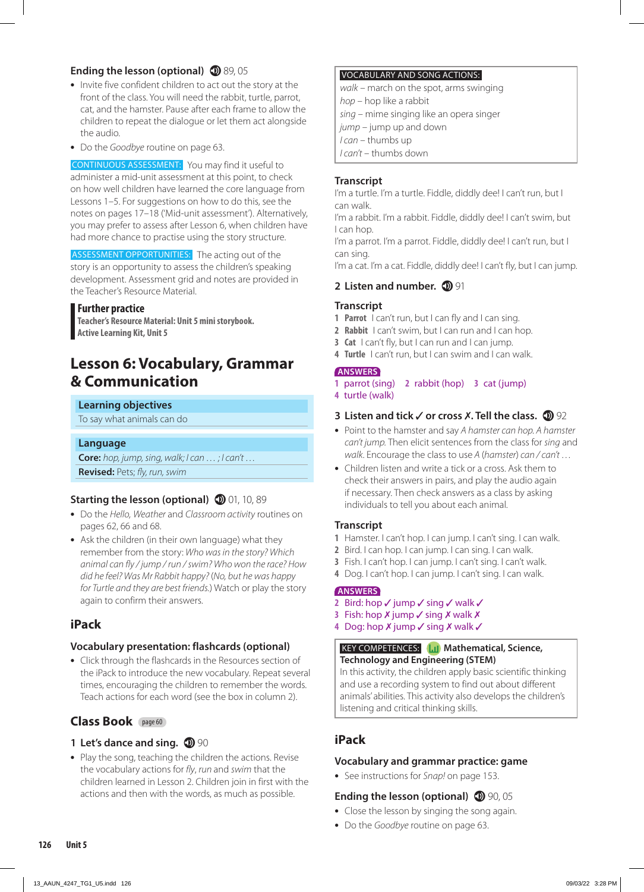#### **Ending the lesson (optional) 1** 89, 05

- **•** Invite five confident children to act out the story at the front of the class. You will need the rabbit, turtle, parrot, cat, and the hamster. Pause after each frame to allow the children to repeat the dialogue or let them act alongside the audio.
- **•** Do the *Goodbye* routine on page 63.

CONTINUOUS ASSESSMENT: You may find it useful to administer a mid-unit assessment at this point, to check on how well children have learned the core language from Lessons 1–5. For suggestions on how to do this, see the notes on pages 17–18 ('Mid-unit assessment'). Alternatively, you may prefer to assess after Lesson 6, when children have had more chance to practise using the story structure.

ASSESSMENT OPPORTUNITIES: The acting out of the story is an opportunity to assess the children's speaking development. Assessment grid and notes are provided in the Teacher's Resource Material.

#### **Further practice**

**Teacher's Resource Material: Unit 5 mini storybook. Active Learning Kit, Unit 5**

# **Lesson 6: Vocabulary, Grammar & Communication**

#### **Learning objectives**

To say what animals can do

#### **Language**

**Core:** *hop, jump, sing, walk; I can … ; I can't …* **Revised:** Pets; *fly, run, swim*

#### **Starting the lesson (optional) 10**, 10, 89

- **•** Do the *Hello, Weather* and *Classroom activity* routines on pages 62, 66 and 68.
- **•** Ask the children (in their own language) what they remember from the story: *Who was in the story? Which animal can fly / jump / run / swim? Who won the race? How did he feel? Was Mr Rabbit happy?* (*No, but he was happy for Turtle and they are best friends.*) Watch or play the story again to confirm their answers.

#### **iPack**

#### **Vocabulary presentation: flashcards (optional)**

**•** Click through the flashcards in the Resources section of the iPack to introduce the new vocabulary. Repeat several times, encouraging the children to remember the words. Teach actions for each word (see the box in column 2).

# **Class Book** page 60

#### **1 Let's dance and sing. 1 90**

**•** Play the song, teaching the children the actions. Revise the vocabulary actions for *fly*, *run* and *swim* that the children learned in Lesson 2. Children join in first with the actions and then with the words, as much as possible.

#### VOCABULARY AND SONG ACTIONS:

*walk* – march on the spot, arms swinging

*hop* – hop like a rabbit

*sing* – mime singing like an opera singer

- *jump* jump up and down
- *I can* thumbs up
- *I can't* thumbs down

#### **Transcript**

I'm a turtle. I'm a turtle. Fiddle, diddly dee! I can't run, but I can walk.

I'm a rabbit. I'm a rabbit. Fiddle, diddly dee! I can't swim, but I can hop.

I'm a parrot. I'm a parrot. Fiddle, diddly dee! I can't run, but I can sing.

I'm a cat. I'm a cat. Fiddle, diddly dee! I can't fly, but I can jump.

#### **2 Listen and number. 1**91

#### **Transcript**

- **1 Parrot** I can't run, but I can fly and I can sing.
- **2 Rabbit** I can't swim, but I can run and I can hop.
- **3 Cat** I can't fly, but I can run and I can jump.
- **4 Turtle** I can't run, but I can swim and I can walk.

#### **ANSWERS**

- **1** parrot (sing) **2** rabbit (hop) **3** cat (jump)
- **4** turtle (walk)

#### **3 Listen and tick √ or cross X. Tell the class. <b>1**92

- **•** Point to the hamster and say *A hamster can hop. A hamster can't jump.* Then elicit sentences from the class for *sing* and *walk*. Encourage the class to use *A* (*hamster*) *can / can't …*
- **•** Children listen and write a tick or a cross. Ask them to check their answers in pairs, and play the audio again if necessary. Then check answers as a class by asking individuals to tell you about each animal.

#### **Transcript**

- **1** Hamster. I can't hop. I can jump. I can't sing. I can walk.
- **2** Bird. I can hop. I can jump. I can sing. I can walk.
- **3** Fish. I can't hop. I can jump. I can't sing. I can't walk.
- **4** Dog. I can't hop. I can jump. I can't sing. I can walk.

#### **ANSWERS**

- 2 Bird: hop  $\checkmark$  jump  $\checkmark$  sing  $\checkmark$  walk  $\checkmark$
- **3** Fish: hop  $X$  jump  $\checkmark$  sing  $X$  walk  $X$
- **4** Dog: hop  $X$  jump  $\checkmark$  sing  $X$  walk  $\checkmark$

#### **KEY COMPETENCES: Mathematical, Science, Technology and Engineering (STEM)**

In this activity, the children apply basic scientific thinking and use a recording system to find out about different animals' abilities. This activity also develops the children's listening and critical thinking skills.

# **iPack**

#### **Vocabulary and grammar practice: game**

**•** See instructions for *Snap!* on page 153.

#### **Ending the lesson (optional) 1** 90, 05

- **•** Close the lesson by singing the song again.
- **•** Do the *Goodbye* routine on page 63.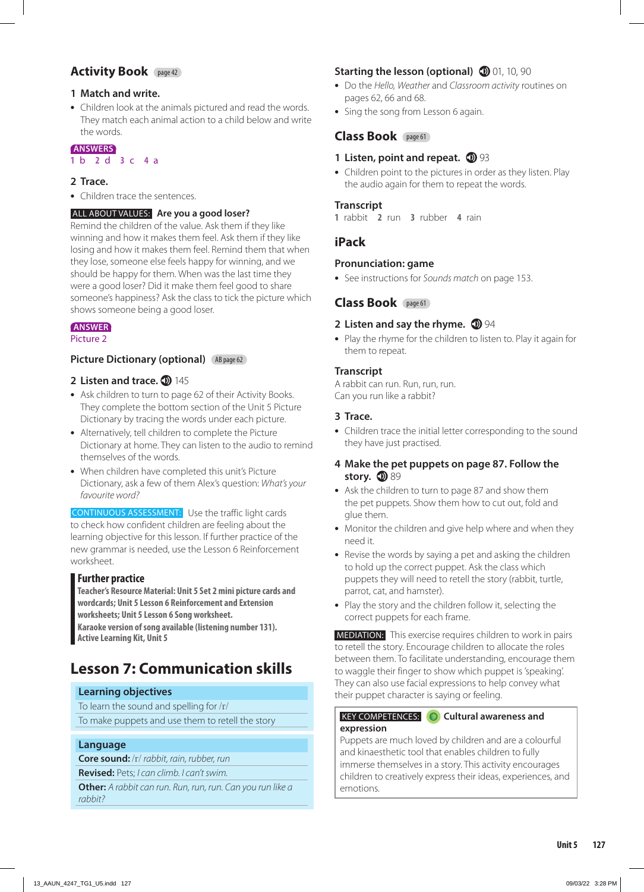#### **Activity Book** page 42

#### **1 Match and write.**

**•** Children look at the animals pictured and read the words. They match each animal action to a child below and write the words.

#### **ANSWERS**

#### **1** b **2** d **3** c **4** a

#### **2 Trace.**

**•** Children trace the sentences.

#### ALL ABOUT VALUES: **Are you a good loser?**

Remind the children of the value. Ask them if they like winning and how it makes them feel. Ask them if they like losing and how it makes them feel. Remind them that when they lose, someone else feels happy for winning, and we should be happy for them. When was the last time they were a good loser? Did it make them feel good to share someone's happiness? Ask the class to tick the picture which shows someone being a good loser.

#### **ANSWER**

Picture 2

#### **Picture Dictionary (optional)** (AB page 62)

#### **2 Listen and trace. <b>145**

- **•** Ask children to turn to page 62 of their Activity Books. They complete the bottom section of the Unit 5 Picture Dictionary by tracing the words under each picture.
- **•** Alternatively, tell children to complete the Picture Dictionary at home. They can listen to the audio to remind themselves of the words.
- **•** When children have completed this unit's Picture Dictionary, ask a few of them Alex's question: *What's your favourite word?*

CONTINUOUS ASSESSMENT: Use the traffic light cards to check how confident children are feeling about the learning objective for this lesson. If further practice of the new grammar is needed, use the Lesson 6 Reinforcement worksheet.

#### **Further practice**

**Teacher's Resource Material: Unit 5 Set 2 mini picture cards and wordcards; Unit 5 Lesson 6 Reinforcement and Extension worksheets; Unit 5 Lesson 6 Song worksheet.** 

**Karaoke version of song available (listening number 131). Active Learning Kit, Unit 5**

# **Lesson 7: Communication skills**

#### **Learning objectives**

To learn the sound and spelling for /r/ To make puppets and use them to retell the story

#### **Language**

**Core sound:** /r/ *rabbit, rain, rubber, run*

**Revised:** Pets; *I can climb. I can't swim.*

**Other:** *A rabbit can run. Run, run, run. Can you run like a rabbit?*

#### **Starting the lesson (optional) 10, 10, 90**

- **•** Do the *Hello, Weather* and *Classroom activity* routines on pages 62, 66 and 68.
- **•** Sing the song from Lesson 6 again.

#### **Class Book** page 61

#### **1 Listen, point and repeat.**  $\mathbf{D}$  93

**•** Children point to the pictures in order as they listen. Play the audio again for them to repeat the words.

#### **Transcript**

**1** rabbit **2** run **3** rubber **4** rain

#### **iPack**

#### **Pronunciation: game**

**•** See instructions for *Sounds match* on page 153.

#### **Class Book** page 61

#### **2 Listen and say the rhyme.**  $\mathbf{D}$  94

**•** Play the rhyme for the children to listen to. Play it again for them to repeat.

#### **Transcript**

A rabbit can run. Run, run, run. Can you run like a rabbit?

#### **3 Trace.**

**•** Children trace the initial letter corresponding to the sound they have just practised.

#### **4 Make the pet puppets on page 87. Follow the**  story. **189**

- **•** Ask the children to turn to page 87 and show them the pet puppets. Show them how to cut out, fold and glue them.
- **•** Monitor the children and give help where and when they need it.
- **•** Revise the words by saying a pet and asking the children to hold up the correct puppet. Ask the class which puppets they will need to retell the story (rabbit, turtle, parrot, cat, and hamster).
- **•** Play the story and the children follow it, selecting the correct puppets for each frame.

 MEDIATION: This exercise requires children to work in pairs to retell the story. Encourage children to allocate the roles between them. To facilitate understanding, encourage them to waggle their finger to show which puppet is 'speaking'. They can also use facial expressions to help convey what their puppet character is saying or feeling.

#### KEY COMPETENCES: **Cultural awareness and expression**

Puppets are much loved by children and are a colourful and kinaesthetic tool that enables children to fully immerse themselves in a story. This activity encourages children to creatively express their ideas, experiences, and emotions.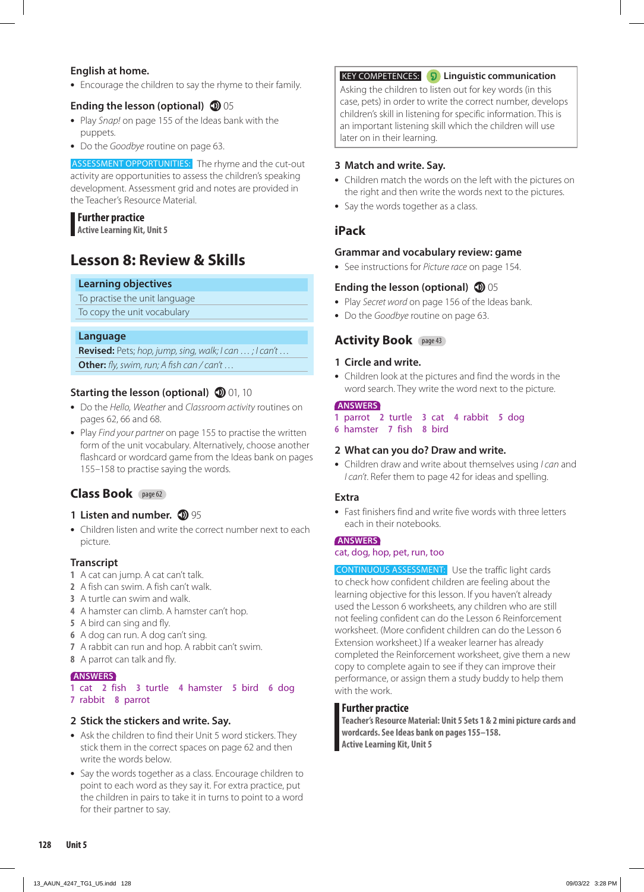#### **English at home.**

**•** Encourage the children to say the rhyme to their family.

#### **Ending the lesson (optional) 1** 05

- **•** Play *Snap!* on page 155 of the Ideas bank with the puppets.
- **•** Do the *Goodbye* routine on page 63.

ASSESSMENT OPPORTUNITIES: The rhyme and the cut-out activity are opportunities to assess the children's speaking development. Assessment grid and notes are provided in the Teacher's Resource Material.

#### **Further practice Active Learning Kit, Unit 5**

# **Lesson 8: Review & Skills**

#### **Learning objectives**

To practise the unit language

To copy the unit vocabulary

#### **Language**

**Revised:** Pets; *hop, jump, sing, walk; I can … ; I can't …* **Other:** *fly, swim, run; A fish can / can't …*

#### **Starting the lesson (optional) 10** 01, 10

- **•** Do the *Hello, Weather* and *Classroom activity* routines on pages 62, 66 and 68.
- **•** Play *Find your partner* on page 155 to practise the written form of the unit vocabulary. Alternatively, choose another flashcard or wordcard game from the Ideas bank on pages 155–158 to practise saying the words.

#### **Class Book** page 62

#### **1 Listen and number. 1 95**

**•** Children listen and write the correct number next to each picture.

#### **Transcript**

- **1** A cat can jump. A cat can't talk.
- **2** A fish can swim. A fish can't walk.
- **3** A turtle can swim and walk.
- **4** A hamster can climb. A hamster can't hop.
- **5** A bird can sing and fly.
- **6** A dog can run. A dog can't sing.
- **7** A rabbit can run and hop. A rabbit can't swim.
- **8** A parrot can talk and fly.

#### **ANSWERS**

#### **1** cat **2** fish **3** turtle **4** hamster **5** bird **6** dog **7** rabbit **8** parrot

#### **2 Stick the stickers and write. Say.**

- **•** Ask the children to find their Unit 5 word stickers. They stick them in the correct spaces on page 62 and then write the words below.
- **•** Say the words together as a class. Encourage children to point to each word as they say it. For extra practice, put the children in pairs to take it in turns to point to a word for their partner to say.

#### KEY COMPETENCES: **Linguistic communication**

Asking the children to listen out for key words (in this case, pets) in order to write the correct number, develops children's skill in listening for specific information. This is an important listening skill which the children will use later on in their learning.

#### **3 Match and write. Say.**

- **•** Children match the words on the left with the pictures on the right and then write the words next to the pictures.
- **•** Say the words together as a class.

#### **iPack**

#### **Grammar and vocabulary review: game**

**•** See instructions for *Picture race* on page 154.

#### **Ending the lesson (optional)**  $\mathbf{D}$  05

- **•** Play *Secret word* on page 156 of the Ideas bank.
- **•** Do the *Goodbye* routine on page 63.

#### **Activity Book** page 43

#### **1 Circle and write.**

**•** Children look at the pictures and find the words in the word search. They write the word next to the picture.

#### **ANSWERS**

- **1** parrot **2** turtle **3** cat **4** rabbit **5** dog
- **6** hamster **7** fish **8** bird

#### **2 What can you do? Draw and write.**

**•** Children draw and write about themselves using *I can* and *I can't*. Refer them to page 42 for ideas and spelling.

#### **Extra**

**•** Fast finishers find and write five words with three letters each in their notebooks.

#### **ANSWERS**

#### cat, dog, hop, pet, run, too

CONTINUOUS ASSESSMENT: Use the traffic light cards to check how confident children are feeling about the learning objective for this lesson. If you haven't already used the Lesson 6 worksheets, any children who are still not feeling confident can do the Lesson 6 Reinforcement worksheet. (More confident children can do the Lesson 6 Extension worksheet.) If a weaker learner has already completed the Reinforcement worksheet, give them a new copy to complete again to see if they can improve their performance, or assign them a study buddy to help them with the work.

#### **Further practice**

**Teacher's Resource Material: Unit 5 Sets 1 & 2 mini picture cards and wordcards. See Ideas bank on pages 155–158. Active Learning Kit, Unit 5**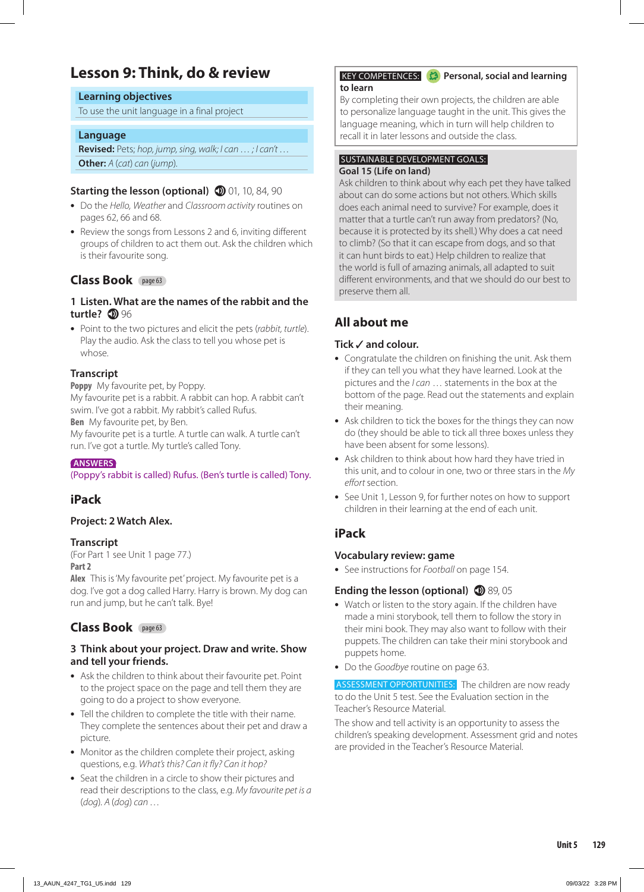# **Lesson 9: Think, do & review**

#### **Learning objectives**

To use the unit language in a final project

#### **Language**

**Revised:** Pets; *hop, jump, sing, walk; I can … ; I can't …* **Other:** *A* (*cat*) *can* (*jump*)*.*

#### **Starting the lesson (optional) 10** 01, 10, 84, 90

- **•** Do the *Hello, Weather* and *Classroom activity* routines on pages 62, 66 and 68.
- **•** Review the songs from Lessons 2 and 6, inviting different groups of children to act them out. Ask the children which is their favourite song.

#### **Class Book** page 63

#### **1 Listen. What are the names of the rabbit and the turtle? <b>D** 96

**•** Point to the two pictures and elicit the pets (*rabbit, turtle*). Play the audio. Ask the class to tell you whose pet is whose.

#### **Transcript**

**Poppy** My favourite pet, by Poppy.

My favourite pet is a rabbit. A rabbit can hop. A rabbit can't swim. I've got a rabbit. My rabbit's called Rufus. **Ben** My favourite pet, by Ben.

My favourite pet is a turtle. A turtle can walk. A turtle can't run. I've got a turtle. My turtle's called Tony.

#### **ANSWERS**

#### (Poppy's rabbit is called) Rufus. (Ben's turtle is called) Tony.

#### **iPack**

#### **Project: 2 Watch Alex.**

#### **Transcript**

(For Part 1 see Unit 1 page 77.) **Part 2**

**Alex** This is 'My favourite pet' project. My favourite pet is a dog. I've got a dog called Harry. Harry is brown. My dog can run and jump, but he can't talk. Bye!

#### **Class Book** page 63

#### **3 Think about your project. Draw and write. Show and tell your friends.**

- **•** Ask the children to think about their favourite pet. Point to the project space on the page and tell them they are going to do a project to show everyone.
- **•** Tell the children to complete the title with their name. They complete the sentences about their pet and draw a picture.
- **•** Monitor as the children complete their project, asking questions, e.g. *What's this? Can it fly? Can it hop?*
- **•** Seat the children in a circle to show their pictures and read their descriptions to the class, e.g. *My favourite pet is a*  (*dog*)*. A* (*dog*) *can …*

#### **KEY COMPETENCES:**  $\bullet$  Personal, social and learning **to learn**

By completing their own projects, the children are able to personalize language taught in the unit. This gives the language meaning, which in turn will help children to recall it in later lessons and outside the class.

#### SUSTAINABLE DEVELOPMENT GOALS: **Goal 15 (Life on land)**

Ask children to think about why each pet they have talked about can do some actions but not others. Which skills does each animal need to survive? For example, does it matter that a turtle can't run away from predators? (No, because it is protected by its shell.) Why does a cat need to climb? (So that it can escape from dogs, and so that it can hunt birds to eat.) Help children to realize that the world is full of amazing animals, all adapted to suit different environments, and that we should do our best to preserve them all.

#### **All about me**

#### **Tick and colour.**

- **•** Congratulate the children on finishing the unit. Ask them if they can tell you what they have learned. Look at the pictures and the *I can* … statements in the box at the bottom of the page. Read out the statements and explain their meaning.
- **•** Ask children to tick the boxes for the things they can now do (they should be able to tick all three boxes unless they have been absent for some lessons).
- **•** Ask children to think about how hard they have tried in this unit, and to colour in one, two or three stars in the *My effort* section.
- **•** See Unit 1, Lesson 9, for further notes on how to support children in their learning at the end of each unit.

#### **iPack**

#### **Vocabulary review: game**

**•** See instructions for *Football* on page 154.

#### **Ending the lesson (optional) 1** 89, 05

- **•** Watch or listen to the story again. If the children have made a mini storybook, tell them to follow the story in their mini book. They may also want to follow with their puppets. The children can take their mini storybook and puppets home.
- **•** Do the *Goodbye* routine on page 63.

ASSESSMENT OPPORTUNITIES: The children are now ready to do the Unit 5 test. See the Evaluation section in the Teacher's Resource Material.

The show and tell activity is an opportunity to assess the children's speaking development. Assessment grid and notes are provided in the Teacher's Resource Material.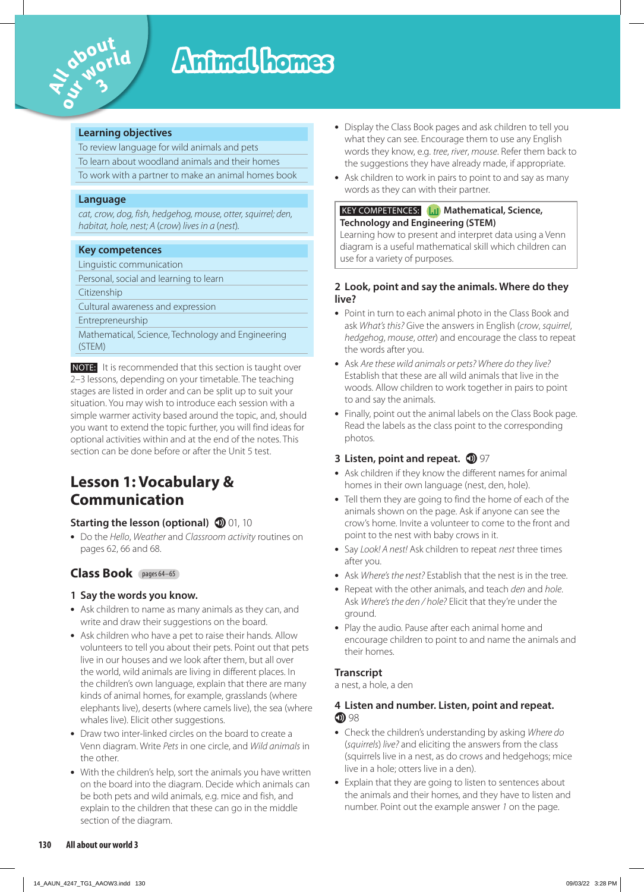

# Animal homes

#### **Learning objectives**

To review language for wild animals and pets

To learn about woodland animals and their homes

To work with a partner to make an animal homes book

#### **Language**

*cat, crow, dog, fish, hedgehog, mouse, otter, squirrel; den, habitat, hole, nest; A* (*crow*) *lives in a* (*nest*)*.*

#### **Key competences**

Linguistic communication

Personal, social and learning to learn

Citizenship

Cultural awareness and expression

Entrepreneurship

Mathematical, Science, Technology and Engineering (STEM)

 NOTE: It is recommended that this section is taught over 2–3 lessons, depending on your timetable. The teaching stages are listed in order and can be split up to suit your situation. You may wish to introduce each session with a simple warmer activity based around the topic, and, should you want to extend the topic further, you will find ideas for optional activities within and at the end of the notes. This section can be done before or after the Unit 5 test.

# **Lesson 1: Vocabulary & Communication**

#### **Starting the lesson (optional) 10** 01, 10

**•** Do the *Hello*, *Weather* and *Classroom activity* routines on pages 62, 66 and 68.

#### **Class Book** pages 64–65

#### **1 Say the words you know.**

- **•** Ask children to name as many animals as they can, and write and draw their suggestions on the board.
- **•** Ask children who have a pet to raise their hands. Allow volunteers to tell you about their pets. Point out that pets live in our houses and we look after them, but all over the world, wild animals are living in different places. In the children's own language, explain that there are many kinds of animal homes, for example, grasslands (where elephants live), deserts (where camels live), the sea (where whales live). Elicit other suggestions.
- **•** Draw two inter-linked circles on the board to create a Venn diagram. Write *Pets* in one circle, and *Wild animals* in the other.
- **•** With the children's help, sort the animals you have written on the board into the diagram. Decide which animals can be both pets and wild animals, e.g. mice and fish, and explain to the children that these can go in the middle section of the diagram.
- **•** Display the Class Book pages and ask children to tell you what they can see. Encourage them to use any English words they know, e.g. *tree*, *river*, *mouse*. Refer them back to the suggestions they have already made, if appropriate.
- **•** Ask children to work in pairs to point to and say as many words as they can with their partner.

#### **KEY COMPETENCES: Mathematical, Science, Technology and Engineering (STEM)**

Learning how to present and interpret data using a Venn diagram is a useful mathematical skill which children can use for a variety of purposes.

#### **2 Look, point and say the animals. Where do they live?**

- **•** Point in turn to each animal photo in the Class Book and ask *What's this?* Give the answers in English (*crow*, *squirrel*, *hedgehog*, *mouse*, *otter*) and encourage the class to repeat the words after you.
- **•** Ask *Are these wild animals or pets? Where do they live?* Establish that these are all wild animals that live in the woods. Allow children to work together in pairs to point to and say the animals.
- **•** Finally, point out the animal labels on the Class Book page. Read the labels as the class point to the corresponding photos.

#### **3** Listen, point and repeat.  $\mathbf{D}$  97

- **•** Ask children if they know the different names for animal homes in their own language (nest, den, hole).
- **•** Tell them they are going to find the home of each of the animals shown on the page. Ask if anyone can see the crow's home. Invite a volunteer to come to the front and point to the nest with baby crows in it.
- **•** Say *Look! A nest!* Ask children to repeat *nest* three times after you.
- **•** Ask *Where's the nest?* Establish that the nest is in the tree.
- **•** Repeat with the other animals, and teach *den* and *hole*. Ask *Where's the den / hole?* Elicit that they're under the ground.
- **•** Play the audio. Pause after each animal home and encourage children to point to and name the animals and their homes.

#### **Transcript**

a nest, a hole, a den

#### **4 Listen and number. Listen, point and repeat. D** 98

- **•** Check the children's understanding by asking *Where do*  (*squirrels*) *live?* and eliciting the answers from the class (squirrels live in a nest, as do crows and hedgehogs; mice live in a hole; otters live in a den).
- **•** Explain that they are going to listen to sentences about the animals and their homes, and they have to listen and number. Point out the example answer *1* on the page.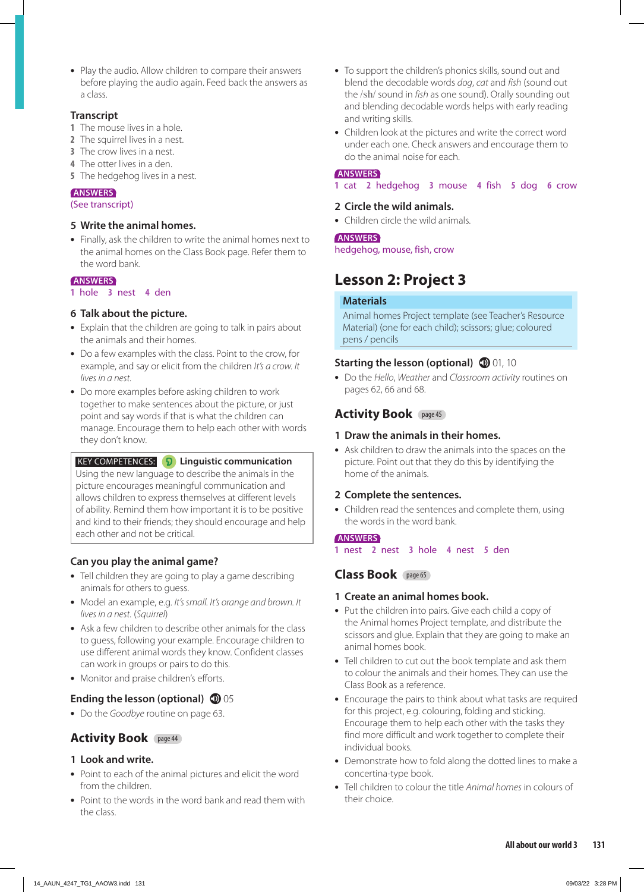• Play the  $\frac{1}{2}$  before pl **•** Play the audio. Allow children to compare their answers before playing the audio again. Feed back the answers as a class.

#### **Transcript**

- **1** The mouse lives in a hole.
- **2** The squirrel lives in a nest.
- **3** The crow lives in a nest.
- **4** The otter lives in a den.
- **5** The hedgehog lives in a nest.

#### **ANSWERS**

#### (See transcript)

#### **5 Write the animal homes.**

**•** Finally, ask the children to write the animal homes next to the animal homes on the Class Book page. Refer them to the word bank.

#### **ANSWERS**

**1** hole **3** nest **4** den

#### **6 Talk about the picture.**

- **•** Explain that the children are going to talk in pairs about the animals and their homes.
- **•** Do a few examples with the class. Point to the crow, for example, and say or elicit from the children *It's a crow. It lives in a nest.*
- **•** Do more examples before asking children to work together to make sentences about the picture, or just point and say words if that is what the children can manage. Encourage them to help each other with words they don't know.

#### KEY COMPETENCES: **Linguistic communication** Using the new language to describe the animals in the picture encourages meaningful communication and allows children to express themselves at different levels of ability. Remind them how important it is to be positive and kind to their friends; they should encourage and help each other and not be critical.

#### **Can you play the animal game?**

- **•** Tell children they are going to play a game describing animals for others to guess.
- **•** Model an example, e.g. *It's small. It's orange and brown. It lives in a nest.* (*Squirrel*)
- **•** Ask a few children to describe other animals for the class to guess, following your example. Encourage children to use different animal words they know. Confident classes can work in groups or pairs to do this.
- **•** Monitor and praise children's efforts.

#### **Ending the lesson (optional) 1** 05

**•** Do the *Goodbye* routine on page 63.

#### **Activity Book** page 44

#### **1 Look and write.**

- **•** Point to each of the animal pictures and elicit the word from the children.
- **•** Point to the words in the word bank and read them with the class.
- **•** To support the children's phonics skills, sound out and blend the decodable words *dog*, *cat* and *fish* (sound out the /sh/ sound in *fish* as one sound). Orally sounding out and blending decodable words helps with early reading and writing skills.
- **•** Children look at the pictures and write the correct word under each one. Check answers and encourage them to do the animal noise for each.

#### **ANSWERS**

**1** cat **2** hedgehog **3** mouse **4** fish **5** dog **6** crow

#### **2 Circle the wild animals.**

**•** Children circle the wild animals.

#### **ANSWERS**

hedgehog, mouse, fish, crow

# **Lesson 2: Project 3**

#### **Materials**

Animal homes Project template (see Teacher's Resource Material) (one for each child); scissors; glue; coloured pens / pencils

#### **Starting the lesson (optional) 10** 01, 10

**•** Do the *Hello*, *Weather* and *Classroom activity* routines on pages 62, 66 and 68.

#### **Activity Book** page 45

#### **1 Draw the animals in their homes.**

**•** Ask children to draw the animals into the spaces on the picture. Point out that they do this by identifying the home of the animals.

#### **2 Complete the sentences.**

**•** Children read the sentences and complete them, using the words in the word bank.

#### **ANSWERS**

**1** nest **2** nest **3** hole **4** nest **5** den

#### **Class Book** page 65

#### **1 Create an animal homes book.**

- **•** Put the children into pairs. Give each child a copy of the Animal homes Project template, and distribute the scissors and glue. Explain that they are going to make an animal homes book.
- **•** Tell children to cut out the book template and ask them to colour the animals and their homes. They can use the Class Book as a reference.
- **•** Encourage the pairs to think about what tasks are required for this project, e.g. colouring, folding and sticking. Encourage them to help each other with the tasks they find more difficult and work together to complete their individual books.
- **•** Demonstrate how to fold along the dotted lines to make a concertina-type book.
- **•** Tell children to colour the title *Animal homes* in colours of their choice.